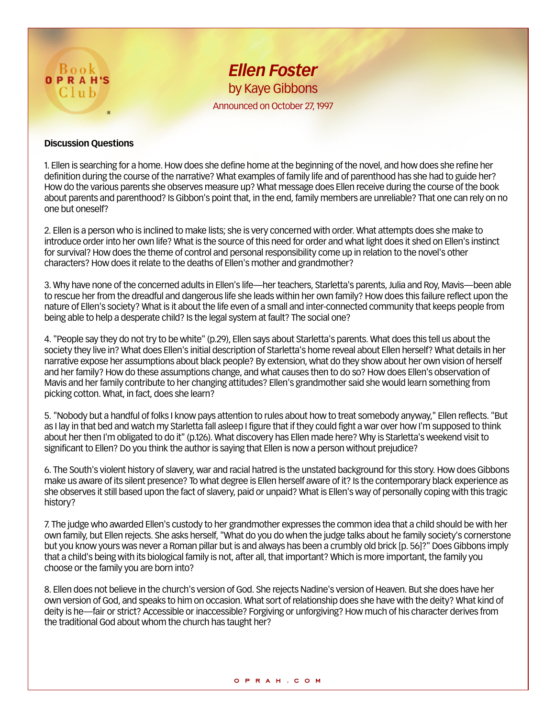

## **Discussion Questions**

1. Ellen is searching for a home. How does she define home at the beginning of the novel, and how does she refine her definition during the course of the narrative? What examples of family life and of parenthood has she had to guide her? How do the various parents she observes measure up? What message does Ellen receive during the course of the book about parents and parenthood? Is Gibbon's point that, in the end, family members are unreliable? That one can rely on no one but oneself?

2. Ellen is a person who is inclined to make lists; she is very concerned with order. What attempts does she make to introduce order into her own life? What is the source of this need for order and what light does it shed on Ellen's instinct for survival? How does the theme of control and personal responsibility come up in relation to the novel's other characters? How does it relate to the deaths of Ellen's mother and grandmother?

3. Why have none of the concerned adults in Ellen's life—her teachers, Starletta's parents, Julia and Roy, Mavis—been able to rescue her from the dreadful and dangerous life she leads within her own family? How does this failure reflect upon the nature of Ellen's society? What is it about the life even of a small and inter-connected community that keeps people from being able to help a desperate child? Is the legal system at fault? The social one?

4. "People say they do not try to be white" (p.29), Ellen says about Starletta's parents. What does this tell us about the society they live in? What does Ellen's initial description of Starletta's home reveal about Ellen herself? What details in her narrative expose her assumptions about black people? By extension, what do they show about her own vision of herself and her family? How do these assumptions change, and what causes then to do so? How does Ellen's observation of Mavis and her family contribute to her changing attitudes? Ellen's grandmother said she would learn something from picking cotton. What, in fact, does she learn?

5. "Nobody but a handful of folks I know pays attention to rules about how to treat somebody anyway," Ellen reflects. "But as I lay in that bed and watch my Starletta fall asleep I figure that if they could fight a war over how I'm supposed to think about her then I'm obligated to do it" (p.126). What discovery has Ellen made here? Why is Starletta's weekend visit to significant to Ellen? Do you think the author is saying that Ellen is now a person without prejudice?

6. The South's violent history of slavery, war and racial hatred is the unstated background for this story. How does Gibbons make us aware of its silent presence? To what degree is Ellen herself aware of it? Is the contemporary black experience as she observes it still based upon the fact of slavery, paid or unpaid? What is Ellen's way of personally coping with this tragic history?

7. The judge who awarded Ellen's custody to her grandmother expresses the common idea that a child should be with her own family, but Ellen rejects. She asks herself, "What do you do when the judge talks about he family society's cornerstone but you know yours was never a Roman pillar but is and always has been a crumbly old brick [p. 56]?" Does Gibbons imply that a child's being with its biological family is not, after all, that important? Which is more important, the family you choose or the family you are born into?

8. Ellen does not believe in the church's version of God. She rejects Nadine's version of Heaven. But she does have her own version of God, and speaks to him on occasion. What sort of relationship does she have with the deity? What kind of deity is he—fair or strict? Accessible or inaccessible? Forgiving or unforgiving? How much of his character derives from the traditional God about whom the church has taught her?

## **oprah.com**